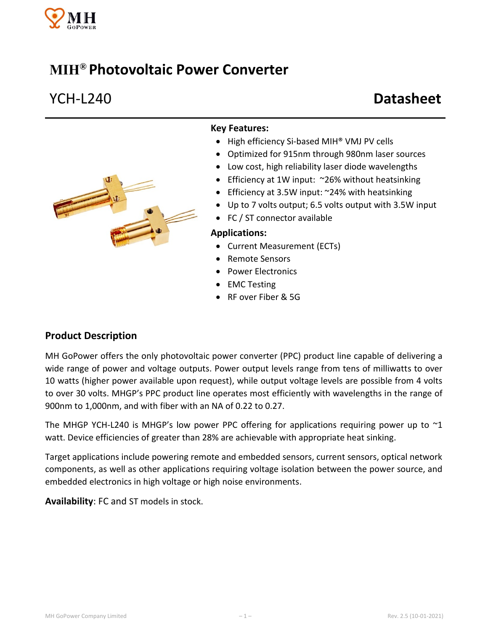

# **MIH® Photovoltaic Power Converter**

# YCH-L240 **Datasheet**



### **Key Features:**

- High efficiency Si-based MIH<sup>®</sup> VMJ PV cells
- Optimized for 915nm through 980nm laser sources
- Low cost, high reliability laser diode wavelengths
- Efficiency at 1W input: ~26% without heatsinking
- Efficiency at 3.5W input: ~24% with heatsinking
- Up to 7 volts output; 6.5 volts output with 3.5W input
- FC / ST connector available

#### **Applications:**

- Current Measurement (ECTs)
- Remote Sensors
- Power Electronics
- EMC Testing
- RF over Fiber & 5G

### **Product Description**

MH GoPower offers the only photovoltaic power converter (PPC) product line capable of delivering a wide range of power and voltage outputs. Power output levels range from tens of milliwatts to over 10 watts (higher power available upon request), while output voltage levels are possible from 4 volts to over 30 volts. MHGP's PPC product line operates most efficiently with wavelengths in the range of 900nm to 1,000nm, and with fiber with an NA of 0.22 to 0.27.

The MHGP YCH-L240 is MHGP's low power PPC offering for applications requiring power up to  $\sim 1$ watt. Device efficiencies of greater than 28% are achievable with appropriate heat sinking.

Target applications include powering remote and embedded sensors, current sensors, optical network components, as well as other applications requiring voltage isolation between the power source, and embedded electronics in high voltage or high noise environments.

**Availability**: FC and ST models in stock.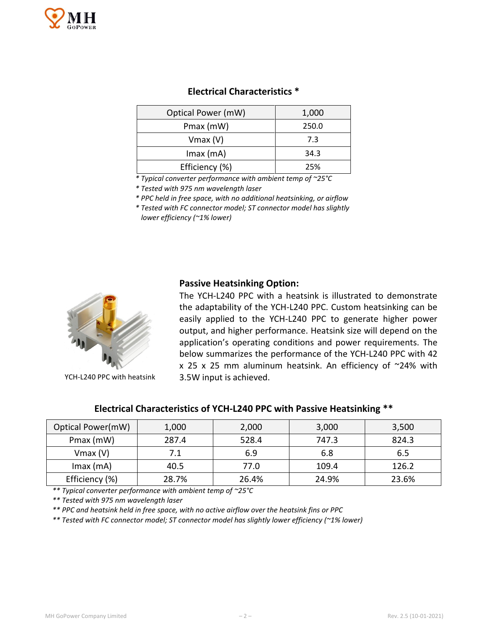

| Optical Power (mW) | 1,000 |  |
|--------------------|-------|--|
| Pmax (mW)          | 250.0 |  |
| $V$ max $(V)$      | 7.3   |  |
| $Imax$ (mA)        | 34.3  |  |
| Efficiency (%)     | 25%   |  |

*\* Typical converter performance with ambient temp of ~25°C*

*\* Tested with 975 nm wavelength laser*

*\* PPC held in free space, with no additional heatsinking, or airflow*

*\* Tested with FC connector model; ST connector model has slightly lower efficiency (~1% lower)* 

### **Passive Heatsinking Option:**



YCH-L240 PPC with heatsink

The YCH-L240 PPC with a heatsink is illustrated to demonstrate the adaptability of the YCH-L240 PPC. Custom heatsinking can be easily applied to the YCH-L240 PPC to generate higher power output, and higher performance. Heatsink size will depend on the application's operating conditions and power requirements. The below summarizes the performance of the YCH-L240 PPC with 42  $x$  25  $x$  25 mm aluminum heatsink. An efficiency of  $\sim$ 24% with 3.5W input is achieved.

| Electrical Characteristics of YCH-L240 PPC with Passive Heatsinking ** |       |       |       |       |  |  |
|------------------------------------------------------------------------|-------|-------|-------|-------|--|--|
| cal Power(mW).                                                         | 1.000 | 2 000 | 3.000 | 3.500 |  |  |

| Optical Power(mW) | 1,000 | 2,000 | 3,000 | 3,500 |
|-------------------|-------|-------|-------|-------|
| Pmax (mW)         | 287.4 | 528.4 | 747.3 | 824.3 |
| $V$ max $(V)$     | 7.1   | 6.9   | 6.8   | 6.5   |
| $Imax$ (mA)       | 40.5  | 77.0  | 109.4 | 126.2 |
| Efficiency (%)    | 28.7% | 26.4% | 24.9% | 23.6% |

*\*\* Typical converter performance with ambient temp of ~25°C*

*\*\* Tested with 975 nm wavelength laser*

*\*\* PPC and heatsink held in free space, with no active airflow over the heatsink fins or PPC*

*\*\* Tested with FC connector model; ST connector model has slightly lower efficiency (~1% lower)*